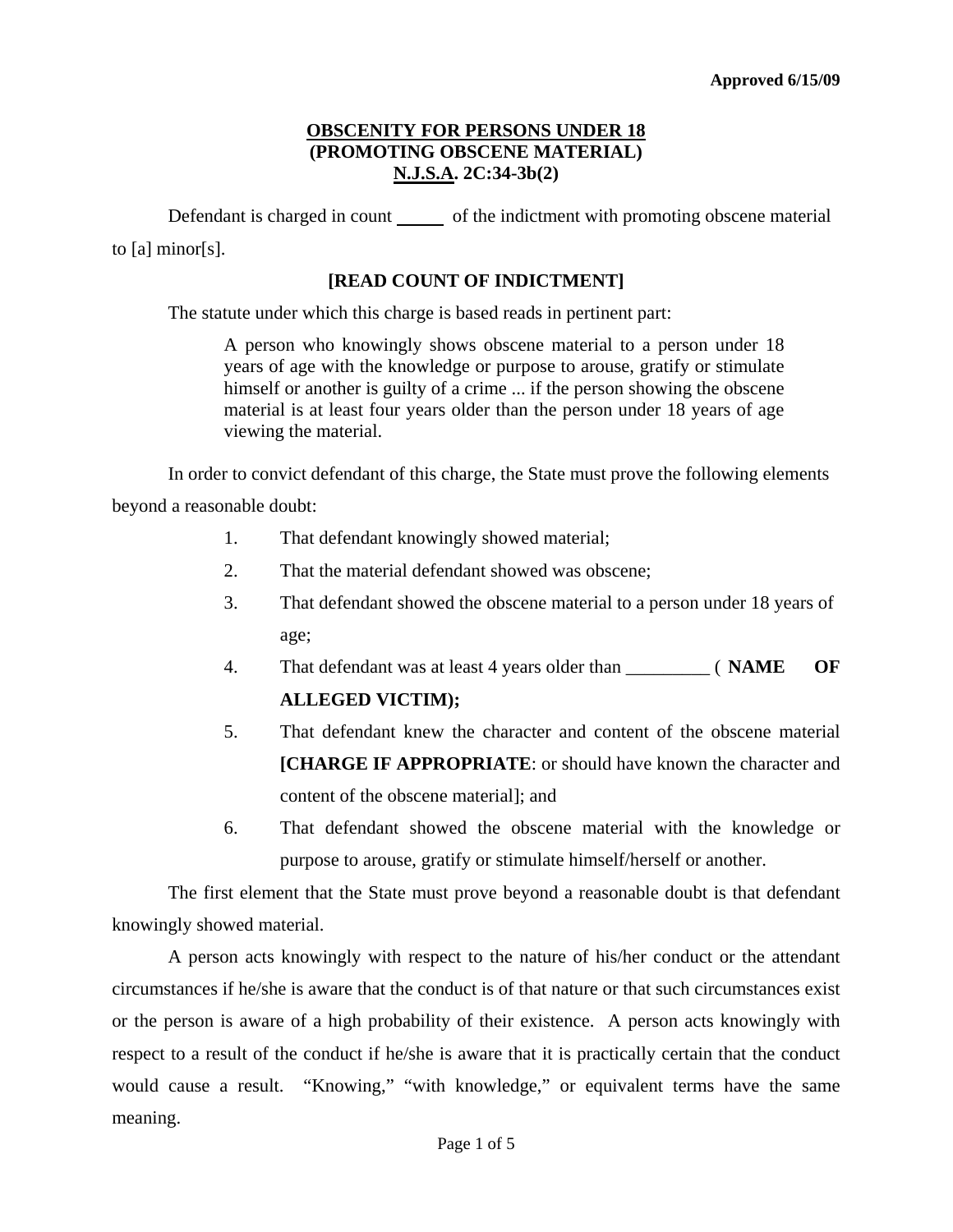Defendant is charged in count \_\_\_\_\_\_ of the indictment with promoting obscene material to [a] minor[s].

## **[READ COUNT OF INDICTMENT]**

The statute under which this charge is based reads in pertinent part:

A person who knowingly shows obscene material to a person under 18 years of age with the knowledge or purpose to arouse, gratify or stimulate himself or another is guilty of a crime ... if the person showing the obscene material is at least four years older than the person under 18 years of age viewing the material.

In order to convict defendant of this charge, the State must prove the following elements beyond a reasonable doubt:

- 1. That defendant knowingly showed material;
- 2. That the material defendant showed was obscene;
- 3. That defendant showed the obscene material to a person under 18 years of age;
- 4. That defendant was at least 4 years older than \_\_\_\_\_\_\_\_\_ ( **NAME OF ALLEGED VICTIM);**
- 5. That defendant knew the character and content of the obscene material **[CHARGE IF APPROPRIATE:** or should have known the character and content of the obscene material]; and
- 6. That defendant showed the obscene material with the knowledge or purpose to arouse, gratify or stimulate himself/herself or another.

The first element that the State must prove beyond a reasonable doubt is that defendant knowingly showed material.

<span id="page-0-0"></span>A person acts knowingly with respect to the nature of his/her conduct or the attendant circumstances if he/she is aware that the conduct is of that nature or that such circumstances exist or the person is aware of a high probability of their existence. A person acts knowingly with respect to a result of the conduct if he/she is aware that it is practically certain that the conduct would cause a result. "Knowing," "with knowledge," or equivalent terms have the same meaning.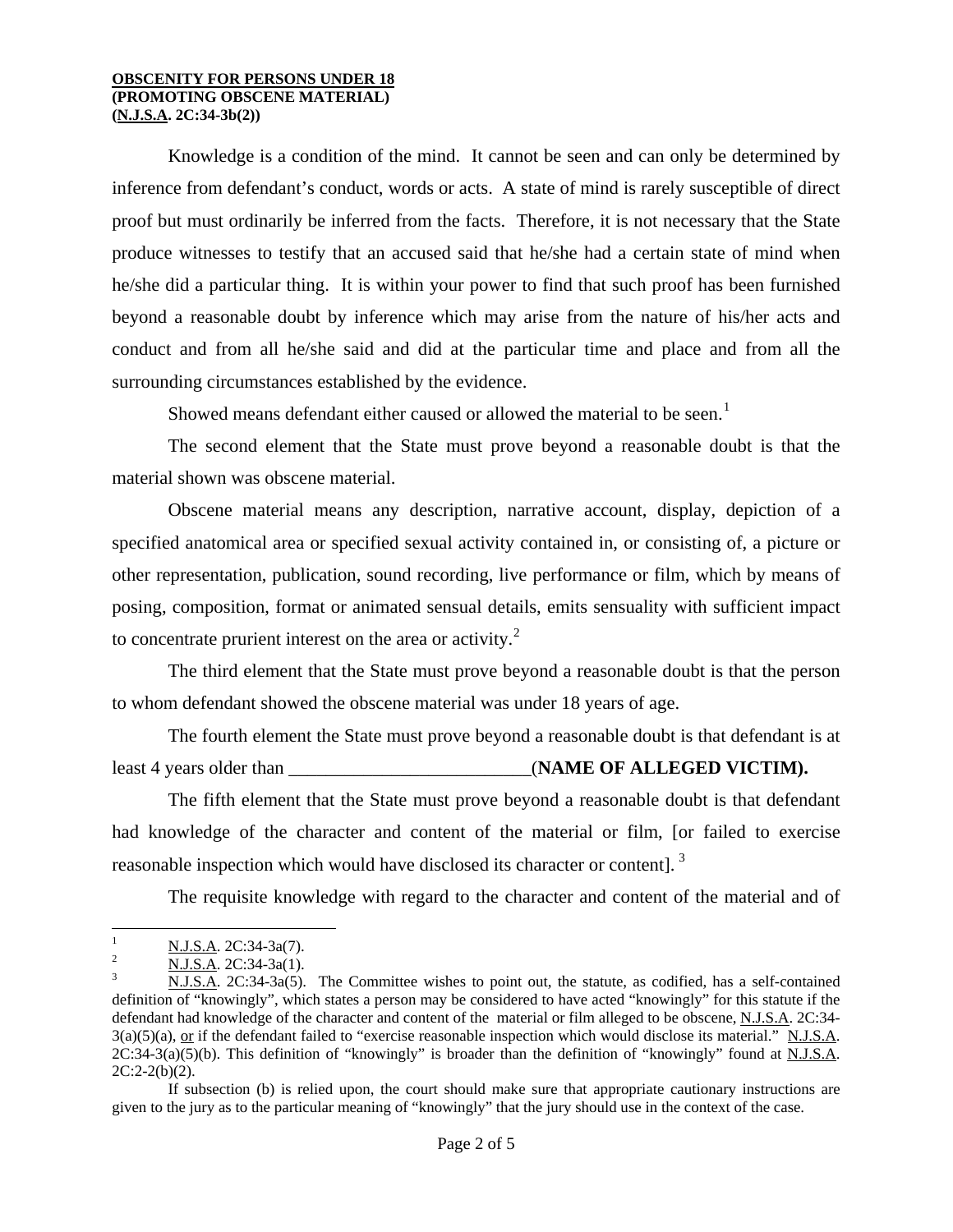Knowledge is a condition of the mind. It cannot be seen and can only be determined by inference from defendant's conduct, words or acts. A state of mind is rarely susceptible of direct proof but must ordinarily be inferred from the facts. Therefore, it is not necessary that the State produce witnesses to testify that an accused said that he/she had a certain state of mind when he/she did a particular thing. It is within your power to find that such proof has been furnished beyond a reasonable doubt by inference which may arise from the nature of his/her acts and conduct and from all he/she said and did at the particular time and place and from all the surrounding circumstances established by the evidence.

Showed means defendant either caused or allowed the material to be seen.<sup>[1](#page-0-0)</sup>

The second element that the State must prove beyond a reasonable doubt is that the material shown was obscene material.

Obscene material means any description, narrative account, display, depiction of a specified anatomical area or specified sexual activity contained in, or consisting of, a picture or other representation, publication, sound recording, live performance or film, which by means of posing, composition, format or animated sensual details, emits sensuality with sufficient impact to concentrate prurient interest on the area or activity. $\frac{2}{x}$  $\frac{2}{x}$  $\frac{2}{x}$ 

The third element that the State must prove beyond a reasonable doubt is that the person to whom defendant showed the obscene material was under 18 years of age.

The fourth element the State must prove beyond a reasonable doubt is that defendant is at least 4 years older than \_\_\_\_\_\_\_\_\_\_\_\_\_\_\_\_\_\_\_\_\_\_\_\_\_\_(**NAME OF ALLEGED VICTIM).**

The fifth element that the State must prove beyond a reasonable doubt is that defendant had knowledge of the character and content of the material or film, [or failed to exercise reasonable inspection which would have disclosed its character or content].<sup>[3](#page-1-1)</sup>

The requisite knowledge with regard to the character and content of the material and of

 $\frac{1}{1}$  $\frac{N.J.S.A.}{N.I.S.A.}$  2C:34-3a(7).

<span id="page-1-0"></span> $\frac{N. J.S.A.}{N. J.S.A.}$  2C:34-3a(1).

<span id="page-1-1"></span>N.J.S.A. 2C:34-3a(5). The Committee wishes to point out, the statute, as codified, has a self-contained definition of "knowingly", which states a person may be considered to have acted "knowingly" for this statute if the defendant had knowledge of the character and content of the material or film alleged to be obscene, N.J.S.A. 2C:34-  $3(a)(5)(a)$ , or if the defendant failed to "exercise reasonable inspection which would disclose its material." N.J.S.A.  $2C:34-3(a)(5)(b)$ . This definition of "knowingly" is broader than the definition of "knowingly" found at N.J.S.A.  $2C:2-2(b)(2)$ .

<span id="page-1-2"></span>If subsection (b) is relied upon, the court should make sure that appropriate cautionary instructions are given to the jury as to the particular meaning of "knowingly" that the jury should use in the context of the case.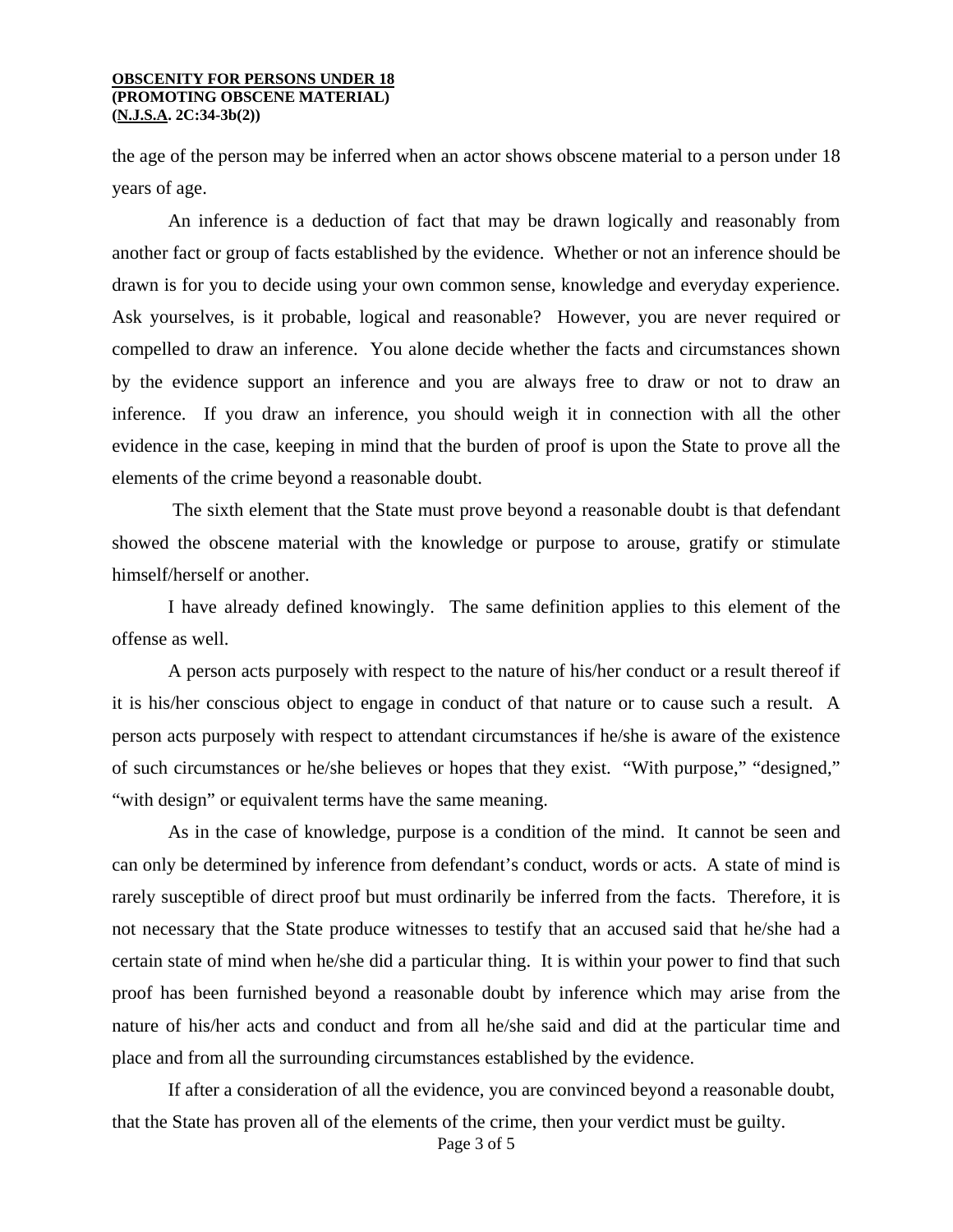the age of the person may be inferred when an actor shows obscene material to a person under 18 years of age.

An inference is a deduction of fact that may be drawn logically and reasonably from another fact or group of facts established by the evidence. Whether or not an inference should be drawn is for you to decide using your own common sense, knowledge and everyday experience. Ask yourselves, is it probable, logical and reasonable? However, you are never required or compelled to draw an inference. You alone decide whether the facts and circumstances shown by the evidence support an inference and you are always free to draw or not to draw an inference. If you draw an inference, you should weigh it in connection with all the other evidence in the case, keeping in mind that the burden of proof is upon the State to prove all the elements of the crime beyond a reasonable doubt.

 The sixth element that the State must prove beyond a reasonable doubt is that defendant showed the obscene material with the knowledge or purpose to arouse, gratify or stimulate himself/herself or another.

I have already defined knowingly. The same definition applies to this element of the offense as well.

A person acts purposely with respect to the nature of his/her conduct or a result thereof if it is his/her conscious object to engage in conduct of that nature or to cause such a result. A person acts purposely with respect to attendant circumstances if he/she is aware of the existence of such circumstances or he/she believes or hopes that they exist. "With purpose," "designed," "with design" or equivalent terms have the same meaning.

As in the case of knowledge, purpose is a condition of the mind. It cannot be seen and can only be determined by inference from defendant's conduct, words or acts. A state of mind is rarely susceptible of direct proof but must ordinarily be inferred from the facts. Therefore, it is not necessary that the State produce witnesses to testify that an accused said that he/she had a certain state of mind when he/she did a particular thing. It is within your power to find that such proof has been furnished beyond a reasonable doubt by inference which may arise from the nature of his/her acts and conduct and from all he/she said and did at the particular time and place and from all the surrounding circumstances established by the evidence.

If after a consideration of all the evidence, you are convinced beyond a reasonable doubt, that the State has proven all of the elements of the crime, then your verdict must be guilty.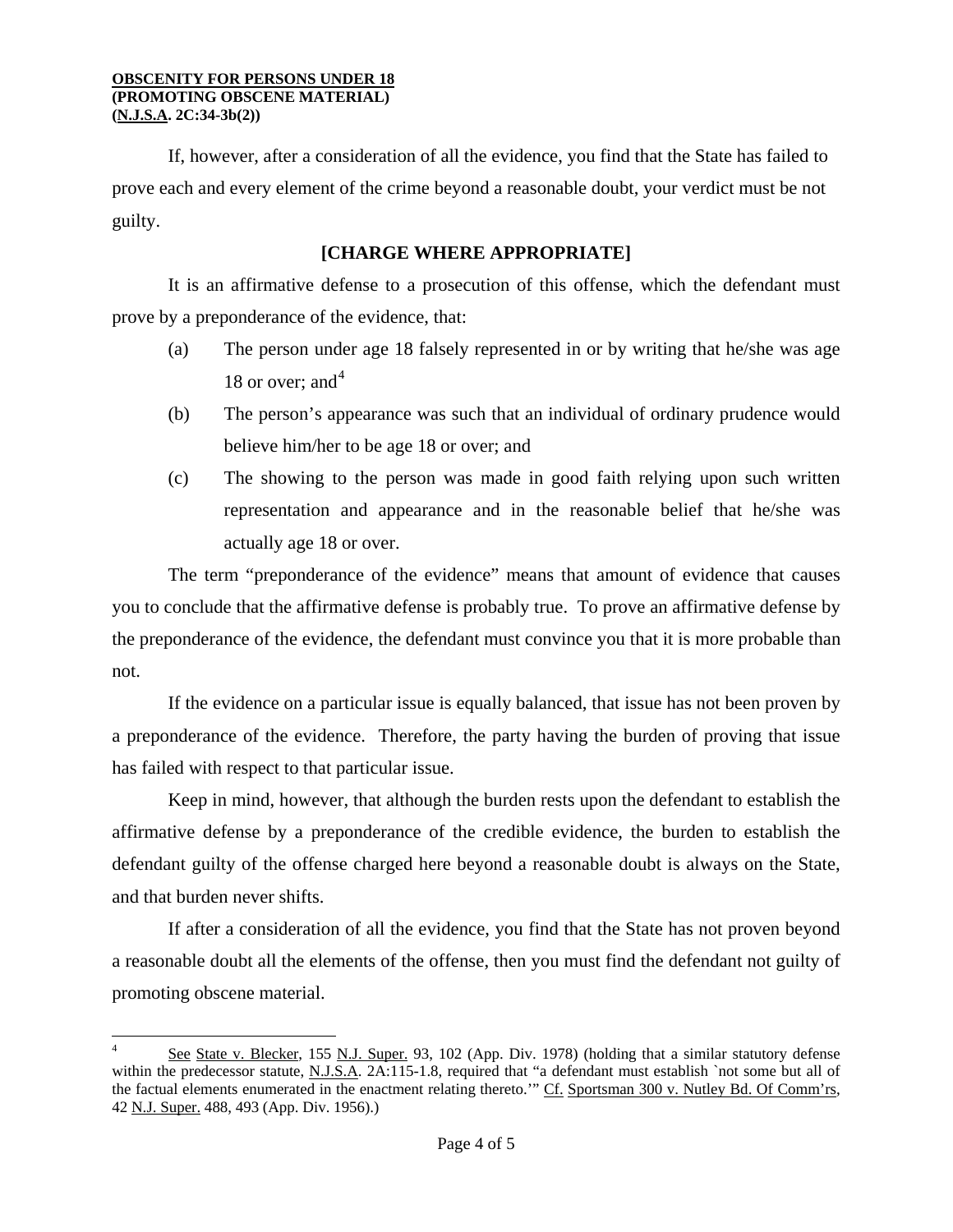$\overline{a}$ 

If, however, after a consideration of all the evidence, you find that the State has failed to prove each and every element of the crime beyond a reasonable doubt, your verdict must be not guilty.

# **[CHARGE WHERE APPROPRIATE]**

It is an affirmative defense to a prosecution of this offense, which the defendant must prove by a preponderance of the evidence, that:

- (a) The person under age 18 falsely represented in or by writing that he/she was age 18 or over; and  $4^4$
- (b) The person's appearance was such that an individual of ordinary prudence would believe him/her to be age 18 or over; and
- (c) The showing to the person was made in good faith relying upon such written representation and appearance and in the reasonable belief that he/she was actually age 18 or over.

The term "preponderance of the evidence" means that amount of evidence that causes you to conclude that the affirmative defense is probably true. To prove an affirmative defense by the preponderance of the evidence, the defendant must convince you that it is more probable than not.

If the evidence on a particular issue is equally balanced, that issue has not been proven by a preponderance of the evidence. Therefore, the party having the burden of proving that issue has failed with respect to that particular issue.

Keep in mind, however, that although the burden rests upon the defendant to establish the affirmative defense by a preponderance of the credible evidence, the burden to establish the defendant guilty of the offense charged here beyond a reasonable doubt is always on the State, and that burden never shifts.

If after a consideration of all the evidence, you find that the State has not proven beyond a reasonable doubt all the elements of the offense, then you must find the defendant not guilty of promoting obscene material.

See State v. Blecker, 155 N.J. Super. 93, 102 (App. Div. 1978) (holding that a similar statutory defense within the predecessor statute, N.J.S.A. 2A:115-1.8, required that "a defendant must establish `not some but all of the factual elements enumerated in the enactment relating thereto.'" Cf. Sportsman 300 v. Nutley Bd. Of Comm'rs, 42 N.J. Super. 488, 493 (App. Div. 1956).)